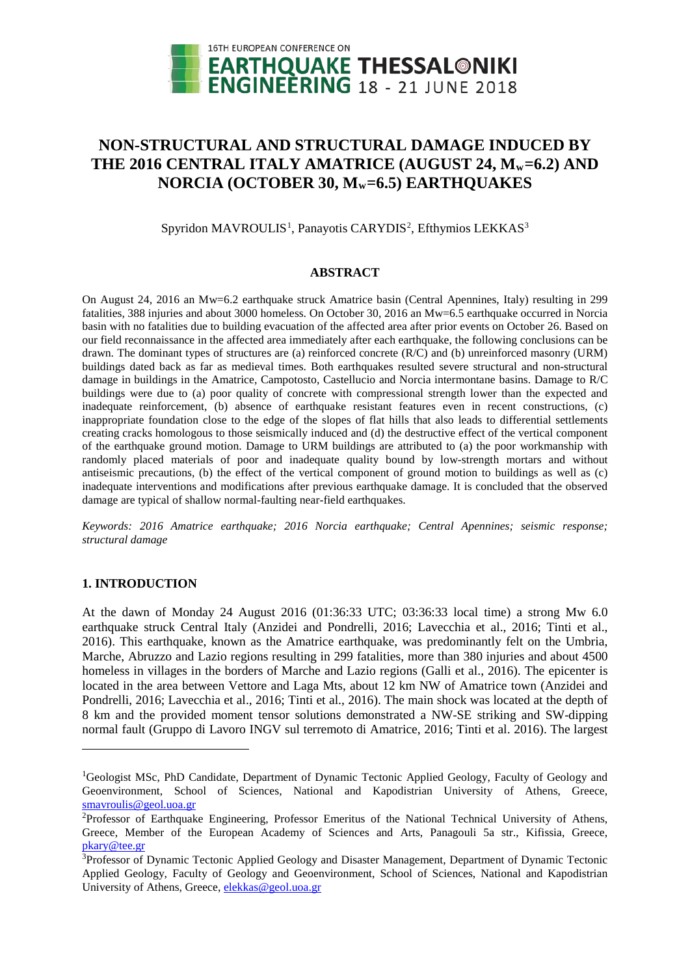

# **NON-STRUCTURAL AND STRUCTURAL DAMAGE INDUCED BY**  THE 2016 CENTRAL ITALY AMATRICE (AUGUST 24, M<sub>w</sub>=6.2) AND **NORCIA (OCTOBER 30, Mw=6.5) EARTHQUAKES**

Spyridon MAVROULIS<sup>[1](#page-0-0)</sup>, Panayotis CARYDIS<sup>[2](#page-0-1)</sup>, Efthymios LEKKAS<sup>[3](#page-0-2)</sup>

## **ABSTRACT**

On August 24, 2016 an Mw=6.2 earthquake struck Amatrice basin (Central Apennines, Italy) resulting in 299 fatalities, 388 injuries and about 3000 homeless. On October 30, 2016 an Mw=6.5 earthquake occurred in Norcia basin with no fatalities due to building evacuation of the affected area after prior events on October 26. Based on our field reconnaissance in the affected area immediately after each earthquake, the following conclusions can be drawn. The dominant types of structures are (a) reinforced concrete (R/C) and (b) unreinforced masonry (URM) buildings dated back as far as medieval times. Both earthquakes resulted severe structural and non-structural damage in buildings in the Amatrice, Campotosto, Castellucio and Norcia intermontane basins. Damage to R/C buildings were due to (a) poor quality of concrete with compressional strength lower than the expected and inadequate reinforcement, (b) absence of earthquake resistant features even in recent constructions, (c) inappropriate foundation close to the edge of the slopes of flat hills that also leads to differential settlements creating cracks homologous to those seismically induced and (d) the destructive effect of the vertical component of the earthquake ground motion. Damage to URM buildings are attributed to (a) the poor workmanship with randomly placed materials of poor and inadequate quality bound by low-strength mortars and without antiseismic precautions, (b) the effect of the vertical component of ground motion to buildings as well as (c) inadequate interventions and modifications after previous earthquake damage. It is concluded that the observed damage are typical of shallow normal-faulting near-field earthquakes.

*Keywords: 2016 Amatrice earthquake; 2016 Norcia earthquake; Central Apennines; seismic response; structural damage*

## **1. INTRODUCTION**

-

At the dawn of Monday 24 August 2016 (01:36:33 UTC; 03:36:33 local time) a strong Mw 6.0 earthquake struck Central Italy (Anzidei and Pondrelli, 2016; Lavecchia et al., 2016; Tinti et al., 2016). This earthquake, known as the Amatrice earthquake, was predominantly felt on the Umbria, Marche, Abruzzo and Lazio regions resulting in 299 fatalities, more than 380 injuries and about 4500 homeless in villages in the borders of Marche and Lazio regions (Galli et al., 2016). The epicenter is located in the area between Vettore and Laga Mts, about 12 km NW of Amatrice town (Anzidei and Pondrelli, 2016; Lavecchia et al., 2016; Tinti et al., 2016). The main shock was located at the depth of 8 km and the provided moment tensor solutions demonstrated a NW-SE striking and SW-dipping normal fault (Gruppo di Lavoro INGV sul terremoto di Amatrice, 2016; Tinti et al. 2016). The largest

<span id="page-0-0"></span><sup>&</sup>lt;sup>1</sup>Geologist MSc, PhD Candidate, Department of Dynamic Tectonic Applied Geology, Faculty of Geology and Geoenvironment, School of Sciences, National and Kapodistrian University of Athens, Greece, [smavroulis@geol.uoa.gr](mailto:smavroulis@geol.uoa.gr)

<span id="page-0-1"></span><sup>&</sup>lt;sup>2</sup>Professor of Earthquake Engineering, Professor Emeritus of the National Technical University of Athens, Greece, Member of the European Academy of Sciences and Arts, Panagouli 5a str., Kifissia, Greece, [pkary@tee.gr](mailto:pkary@tee.gr)

<span id="page-0-2"></span><sup>&</sup>lt;sup>3</sup>Professor of Dynamic Tectonic Applied Geology and Disaster Management, Department of Dynamic Tectonic Applied Geology, Faculty of Geology and Geoenvironment, School of Sciences, National and Kapodistrian University of Athens, Greece, [elekkas@geol.uoa.gr](mailto:elekkas@geol.uoa.gr)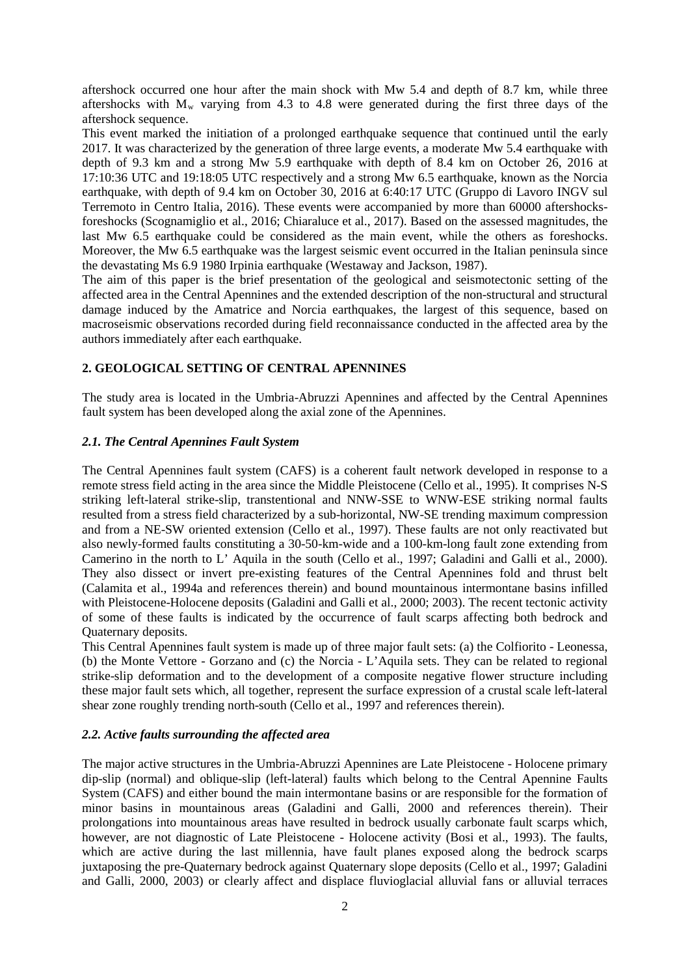aftershock occurred one hour after the main shock with Mw 5.4 and depth of 8.7 km, while three aftershocks with  $M_w$  varying from 4.3 to 4.8 were generated during the first three days of the aftershock sequence.

This event marked the initiation of a prolonged earthquake sequence that continued until the early 2017. It was characterized by the generation of three large events, a moderate Mw 5.4 earthquake with depth of 9.3 km and a strong Mw 5.9 earthquake with depth of 8.4 km on October 26, 2016 at 17:10:36 UTC and 19:18:05 UTC respectively and a strong Mw 6.5 earthquake, known as the Norcia earthquake, with depth of 9.4 km on October 30, 2016 at 6:40:17 UTC (Gruppo di Lavoro INGV sul Terremoto in Centro Italia, 2016). These events were accompanied by more than 60000 aftershocksforeshocks (Scognamiglio et al., 2016; Chiaraluce et al., 2017). Based on the assessed magnitudes, the last Mw 6.5 earthquake could be considered as the main event, while the others as foreshocks. Moreover, the Mw 6.5 earthquake was the largest seismic event occurred in the Italian peninsula since the devastating Ms 6.9 1980 Irpinia earthquake (Westaway and Jackson, 1987).

The aim of this paper is the brief presentation of the geological and seismotectonic setting of the affected area in the Central Apennines and the extended description of the non-structural and structural damage induced by the Amatrice and Norcia earthquakes, the largest of this sequence, based on macroseismic observations recorded during field reconnaissance conducted in the affected area by the authors immediately after each earthquake.

# **2. GEOLOGICAL SETTING OF CENTRAL APENNINES**

The study area is located in the Umbria-Abruzzi Apennines and affected by the Central Apennines fault system has been developed along the axial zone of the Apennines.

## *2.1. The Central Apennines Fault System*

The Central Apennines fault system (CAFS) is a coherent fault network developed in response to a remote stress field acting in the area since the Middle Pleistocene (Cello et al., 1995). It comprises N-S striking left-lateral strike-slip, transtentional and NNW-SSE to WNW-ESE striking normal faults resulted from a stress field characterized by a sub-horizontal, NW-SE trending maximum compression and from a NE-SW oriented extension (Cello et al., 1997). These faults are not only reactivated but also newly-formed faults constituting a 30-50-km-wide and a 100-km-long fault zone extending from Camerino in the north to L' Aquila in the south (Cello et al., 1997; Galadini and Galli et al., 2000). They also dissect or invert pre-existing features of the Central Apennines fold and thrust belt (Calamita et al., 1994a and references therein) and bound mountainous intermontane basins infilled with Pleistocene-Holocene deposits (Galadini and Galli et al., 2000; 2003). The recent tectonic activity of some of these faults is indicated by the occurrence of fault scarps affecting both bedrock and Quaternary deposits.

This Central Apennines fault system is made up of three major fault sets: (a) the Colfiorito - Leonessa, (b) the Monte Vettore - Gorzano and (c) the Norcia - L'Aquila sets. They can be related to regional strike-slip deformation and to the development of a composite negative flower structure including these major fault sets which, all together, represent the surface expression of a crustal scale left-lateral shear zone roughly trending north-south (Cello et al., 1997 and references therein).

## *2.2. Active faults surrounding the affected area*

The major active structures in the Umbria-Abruzzi Apennines are Late Pleistocene - Holocene primary dip-slip (normal) and oblique-slip (left-lateral) faults which belong to the Central Apennine Faults System (CAFS) and either bound the main intermontane basins or are responsible for the formation of minor basins in mountainous areas (Galadini and Galli, 2000 and references therein). Their prolongations into mountainous areas have resulted in bedrock usually carbonate fault scarps which, however, are not diagnostic of Late Pleistocene - Holocene activity (Bosi et al., 1993). The faults, which are active during the last millennia, have fault planes exposed along the bedrock scarps juxtaposing the pre-Quaternary bedrock against Quaternary slope deposits (Cello et al., 1997; Galadini and Galli, 2000, 2003) or clearly affect and displace fluvioglacial alluvial fans or alluvial terraces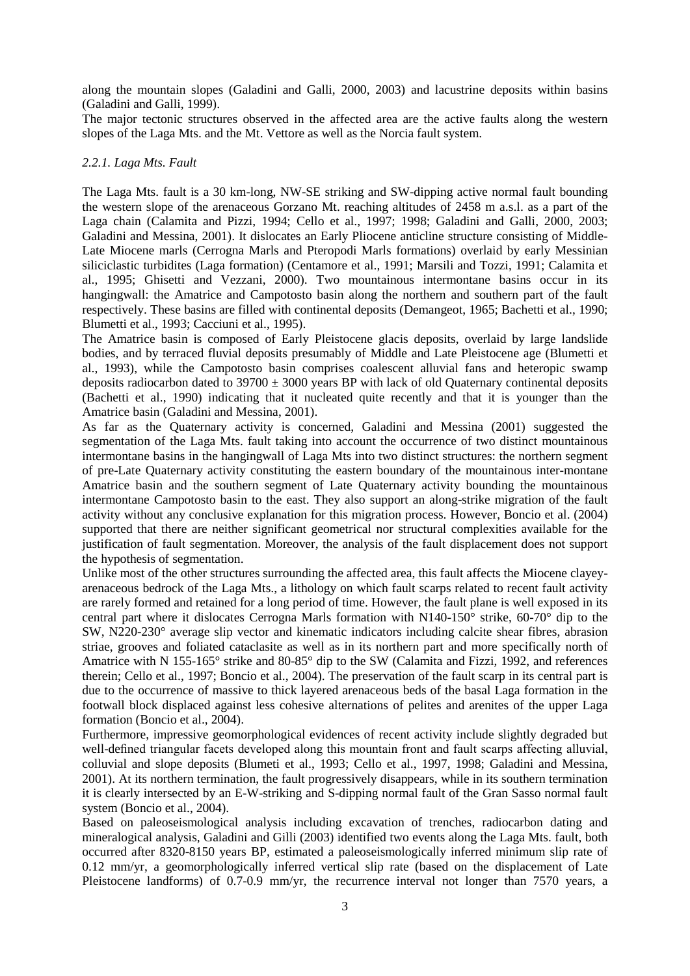along the mountain slopes (Galadini and Galli, 2000, 2003) and lacustrine deposits within basins (Galadini and Galli, 1999).

The major tectonic structures observed in the affected area are the active faults along the western slopes of the Laga Mts. and the Mt. Vettore as well as the Norcia fault system.

#### *2.2.1. Laga Mts. Fault*

The Laga Mts. fault is a 30 km-long, NW-SE striking and SW-dipping active normal fault bounding the western slope of the arenaceous Gorzano Mt. reaching altitudes of 2458 m a.s.l. as a part of the Laga chain (Calamita and Pizzi, 1994; Cello et al., 1997; 1998; Galadini and Galli, 2000, 2003; Galadini and Messina, 2001). It dislocates an Early Pliocene anticline structure consisting of Middle-Late Miocene marls (Cerrogna Marls and Pteropodi Marls formations) overlaid by early Messinian siliciclastic turbidites (Laga formation) (Centamore et al., 1991; Marsili and Tozzi, 1991; Calamita et al., 1995; Ghisetti and Vezzani, 2000). Two mountainous intermontane basins occur in its hangingwall: the Amatrice and Campotosto basin along the northern and southern part of the fault respectively. These basins are filled with continental deposits (Demangeot, 1965; Bachetti et al., 1990; Blumetti et al., 1993; Cacciuni et al., 1995).

The Amatrice basin is composed of Early Pleistocene glacis deposits, overlaid by large landslide bodies, and by terraced fluvial deposits presumably of Middle and Late Pleistocene age (Blumetti et al., 1993), while the Campotosto basin comprises coalescent alluvial fans and heteropic swamp deposits radiocarbon dated to  $39700 \pm 3000$  years BP with lack of old Quaternary continental deposits (Bachetti et al., 1990) indicating that it nucleated quite recently and that it is younger than the Amatrice basin (Galadini and Messina, 2001).

As far as the Quaternary activity is concerned, Galadini and Messina (2001) suggested the segmentation of the Laga Mts. fault taking into account the occurrence of two distinct mountainous intermontane basins in the hangingwall of Laga Mts into two distinct structures: the northern segment of pre-Late Quaternary activity constituting the eastern boundary of the mountainous inter-montane Amatrice basin and the southern segment of Late Quaternary activity bounding the mountainous intermontane Campotosto basin to the east. They also support an along-strike migration of the fault activity without any conclusive explanation for this migration process. However, Boncio et al. (2004) supported that there are neither significant geometrical nor structural complexities available for the justification of fault segmentation. Moreover, the analysis of the fault displacement does not support the hypothesis of segmentation.

Unlike most of the other structures surrounding the affected area, this fault affects the Miocene clayeyarenaceous bedrock of the Laga Mts., a lithology on which fault scarps related to recent fault activity are rarely formed and retained for a long period of time. However, the fault plane is well exposed in its central part where it dislocates Cerrogna Marls formation with N140-150° strike, 60-70° dip to the SW, N220-230° average slip vector and kinematic indicators including calcite shear fibres, abrasion striae, grooves and foliated cataclasite as well as in its northern part and more specifically north of Amatrice with N 155-165° strike and 80-85° dip to the SW (Calamita and Fizzi, 1992, and references therein; Cello et al., 1997; Boncio et al., 2004). The preservation of the fault scarp in its central part is due to the occurrence of massive to thick layered arenaceous beds of the basal Laga formation in the footwall block displaced against less cohesive alternations of pelites and arenites of the upper Laga formation (Boncio et al., 2004).

Furthermore, impressive geomorphological evidences of recent activity include slightly degraded but well-defined triangular facets developed along this mountain front and fault scarps affecting alluvial, colluvial and slope deposits (Blumeti et al., 1993; Cello et al., 1997, 1998; Galadini and Messina, 2001). At its northern termination, the fault progressively disappears, while in its southern termination it is clearly intersected by an E-W-striking and S-dipping normal fault of the Gran Sasso normal fault system (Boncio et al., 2004).

Based on paleoseismological analysis including excavation of trenches, radiocarbon dating and mineralogical analysis, Galadini and Gilli (2003) identified two events along the Laga Mts. fault, both occurred after 8320-8150 years BP, estimated a paleoseismologically inferred minimum slip rate of 0.12 mm/yr, a geomorphologically inferred vertical slip rate (based on the displacement of Late Pleistocene landforms) of 0.7-0.9 mm/yr, the recurrence interval not longer than 7570 years, a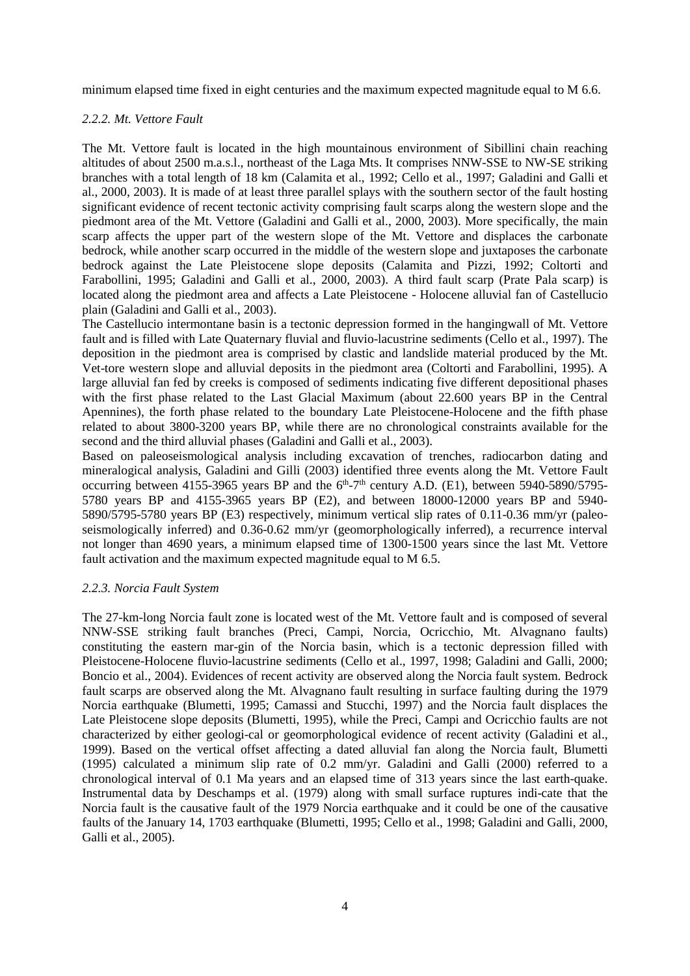minimum elapsed time fixed in eight centuries and the maximum expected magnitude equal to M 6.6.

#### *2.2.2. Mt. Vettore Fault*

The Mt. Vettore fault is located in the high mountainous environment of Sibillini chain reaching altitudes of about 2500 m.a.s.l., northeast of the Laga Mts. It comprises NNW-SSE to NW-SE striking branches with a total length of 18 km (Calamita et al., 1992; Cello et al., 1997; Galadini and Galli et al., 2000, 2003). It is made of at least three parallel splays with the southern sector of the fault hosting significant evidence of recent tectonic activity comprising fault scarps along the western slope and the piedmont area of the Mt. Vettore (Galadini and Galli et al., 2000, 2003). More specifically, the main scarp affects the upper part of the western slope of the Mt. Vettore and displaces the carbonate bedrock, while another scarp occurred in the middle of the western slope and juxtaposes the carbonate bedrock against the Late Pleistocene slope deposits (Calamita and Pizzi, 1992; Coltorti and Farabollini, 1995; Galadini and Galli et al., 2000, 2003). A third fault scarp (Prate Pala scarp) is located along the piedmont area and affects a Late Pleistocene - Holocene alluvial fan of Castellucio plain (Galadini and Galli et al., 2003).

The Castellucio intermontane basin is a tectonic depression formed in the hangingwall of Mt. Vettore fault and is filled with Late Quaternary fluvial and fluvio-lacustrine sediments (Cello et al., 1997). The deposition in the piedmont area is comprised by clastic and landslide material produced by the Mt. Vet-tore western slope and alluvial deposits in the piedmont area (Coltorti and Farabollini, 1995). A large alluvial fan fed by creeks is composed of sediments indicating five different depositional phases with the first phase related to the Last Glacial Maximum (about 22.600 years BP in the Central Apennines), the forth phase related to the boundary Late Pleistocene-Holocene and the fifth phase related to about 3800-3200 years BP, while there are no chronological constraints available for the second and the third alluvial phases (Galadini and Galli et al., 2003).

Based on paleoseismological analysis including excavation of trenches, radiocarbon dating and mineralogical analysis, Galadini and Gilli (2003) identified three events along the Mt. Vettore Fault occurring between 4155-3965 years BP and the  $6<sup>th</sup> - 7<sup>th</sup>$  century A.D. (E1), between 5940-5890/5795-5780 years BP and 4155-3965 years BP (E2), and between 18000-12000 years BP and 5940- 5890/5795-5780 years BP (E3) respectively, minimum vertical slip rates of 0.11-0.36 mm/yr (paleoseismologically inferred) and 0.36-0.62 mm/yr (geomorphologically inferred), a recurrence interval not longer than 4690 years, a minimum elapsed time of 1300-1500 years since the last Mt. Vettore fault activation and the maximum expected magnitude equal to M 6.5.

## *2.2.3. Norcia Fault System*

The 27-km-long Norcia fault zone is located west of the Mt. Vettore fault and is composed of several NNW-SSE striking fault branches (Preci, Campi, Norcia, Ocricchio, Mt. Alvagnano faults) constituting the eastern mar-gin of the Norcia basin, which is a tectonic depression filled with Pleistocene-Holocene fluvio-lacustrine sediments (Cello et al., 1997, 1998; Galadini and Galli, 2000; Boncio et al., 2004). Evidences of recent activity are observed along the Norcia fault system. Bedrock fault scarps are observed along the Mt. Alvagnano fault resulting in surface faulting during the 1979 Norcia earthquake (Blumetti, 1995; Camassi and Stucchi, 1997) and the Norcia fault displaces the Late Pleistocene slope deposits (Blumetti, 1995), while the Preci, Campi and Ocricchio faults are not characterized by either geologi-cal or geomorphological evidence of recent activity (Galadini et al., 1999). Based on the vertical offset affecting a dated alluvial fan along the Norcia fault, Blumetti (1995) calculated a minimum slip rate of 0.2 mm/yr. Galadini and Galli (2000) referred to a chronological interval of 0.1 Ma years and an elapsed time of 313 years since the last earth-quake. Instrumental data by Deschamps et al. (1979) along with small surface ruptures indi-cate that the Norcia fault is the causative fault of the 1979 Norcia earthquake and it could be one of the causative faults of the January 14, 1703 earthquake (Blumetti, 1995; Cello et al., 1998; Galadini and Galli, 2000, Galli et al., 2005).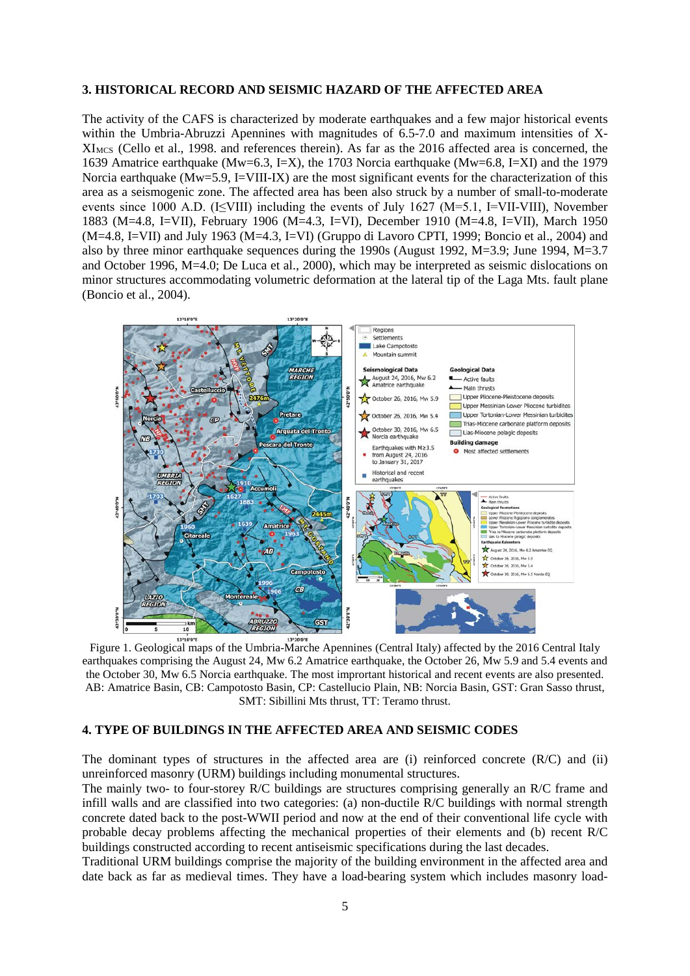#### **3. HISTORICAL RECORD AND SEISMIC HAZARD OF THE AFFECTED AREA**

The activity of the CAFS is characterized by moderate earthquakes and a few major historical events within the Umbria-Abruzzi Apennines with magnitudes of 6.5-7.0 and maximum intensities of X-XIMCS (Cello et al., 1998. and references therein). As far as the 2016 affected area is concerned, the 1639 Amatrice earthquake (Mw=6.3, I=X), the 1703 Norcia earthquake (Mw=6.8, I=XI) and the 1979 Norcia earthquake ( $Mw=5.9$ , I=VIII-IX) are the most significant events for the characterization of this area as a seismogenic zone. The affected area has been also struck by a number of small-to-moderate events since 1000 A.D. (I $\leq$ VIII) including the events of July 1627 (M=5.1, I=VII-VIII), November 1883 (M=4.8, I=VII), February 1906 (M=4.3, I=VI), December 1910 (M=4.8, I=VII), March 1950 (M=4.8, I=VII) and July 1963 (M=4.3, I=VI) (Gruppo di Lavoro CPTI, 1999; Boncio et al., 2004) and also by three minor earthquake sequences during the 1990s (August 1992,  $M=3.9$ ; June 1994,  $M=3.7$ and October 1996, M=4.0; De Luca et al., 2000), which may be interpreted as seismic dislocations on minor structures accommodating volumetric deformation at the lateral tip of the Laga Mts. fault plane (Boncio et al., 2004).



Figure 1. Geological maps of the Umbria-Marche Apennines (Central Italy) affected by the 2016 Central Italy earthquakes comprising the August 24, Mw 6.2 Amatrice earthquake, the October 26, Mw 5.9 and 5.4 events and the October 30, Mw 6.5 Norcia earthquake. The most imprortant historical and recent events are also presented. AB: Amatrice Basin, CB: Campotosto Basin, CP: Castellucio Plain, NB: Norcia Basin, GST: Gran Sasso thrust, SMT: Sibillini Mts thrust, TT: Teramo thrust.

#### **4. TYPE OF BUILDINGS IN THE AFFECTED AREA AND SEISMIC CODES**

The dominant types of structures in the affected area are (i) reinforced concrete (R/C) and (ii) unreinforced masonry (URM) buildings including monumental structures.

The mainly two- to four-storey R/C buildings are structures comprising generally an R/C frame and infill walls and are classified into two categories: (a) non-ductile R/C buildings with normal strength concrete dated back to the post-WWII period and now at the end of their conventional life cycle with probable decay problems affecting the mechanical properties of their elements and (b) recent R/C buildings constructed according to recent antiseismic specifications during the last decades.

Traditional URM buildings comprise the majority of the building environment in the affected area and date back as far as medieval times. They have a load-bearing system which includes masonry load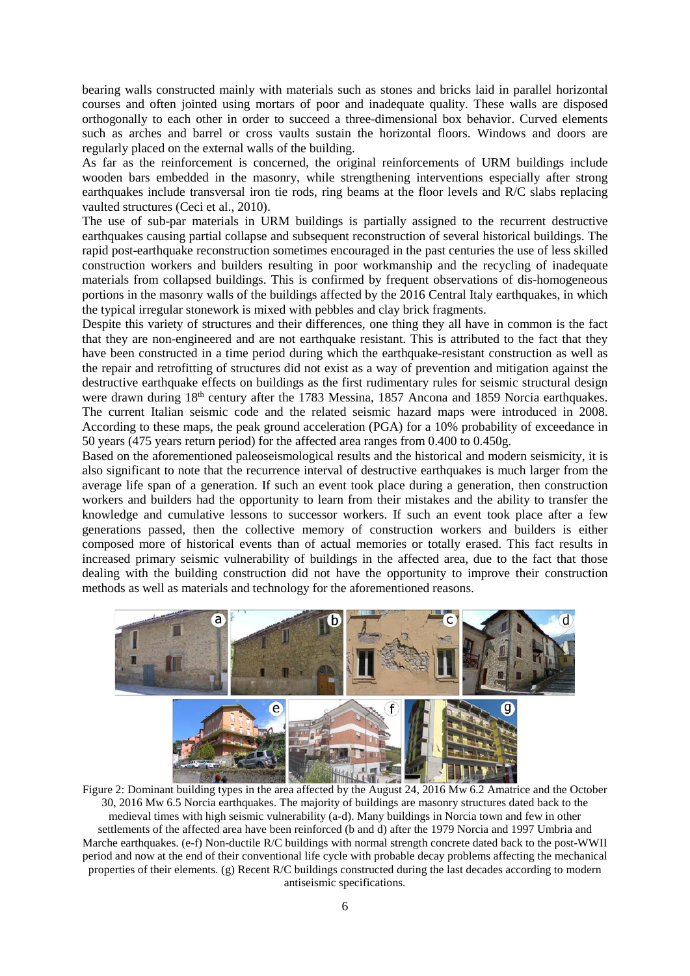bearing walls constructed mainly with materials such as stones and bricks laid in parallel horizontal courses and often jointed using mortars of poor and inadequate quality. These walls are disposed orthogonally to each other in order to succeed a three-dimensional box behavior. Curved elements such as arches and barrel or cross vaults sustain the horizontal floors. Windows and doors are regularly placed on the external walls of the building.

As far as the reinforcement is concerned, the original reinforcements of URM buildings include wooden bars embedded in the masonry, while strengthening interventions especially after strong earthquakes include transversal iron tie rods, ring beams at the floor levels and R/C slabs replacing vaulted structures (Ceci et al., 2010).

The use of sub-par materials in URM buildings is partially assigned to the recurrent destructive earthquakes causing partial collapse and subsequent reconstruction of several historical buildings. The rapid post-earthquake reconstruction sometimes encouraged in the past centuries the use of less skilled construction workers and builders resulting in poor workmanship and the recycling of inadequate materials from collapsed buildings. This is confirmed by frequent observations of dis-homogeneous portions in the masonry walls of the buildings affected by the 2016 Central Italy earthquakes, in which the typical irregular stonework is mixed with pebbles and clay brick fragments.

Despite this variety of structures and their differences, one thing they all have in common is the fact that they are non-engineered and are not earthquake resistant. This is attributed to the fact that they have been constructed in a time period during which the earthquake-resistant construction as well as the repair and retrofitting of structures did not exist as a way of prevention and mitigation against the destructive earthquake effects on buildings as the first rudimentary rules for seismic structural design were drawn during 18<sup>th</sup> century after the 1783 Messina, 1857 Ancona and 1859 Norcia earthquakes. The current Italian seismic code and the related seismic hazard maps were introduced in 2008. According to these maps, the peak ground acceleration (PGA) for a 10% probability of exceedance in 50 years (475 years return period) for the affected area ranges from 0.400 to 0.450g.

Based on the aforementioned paleoseismological results and the historical and modern seismicity, it is also significant to note that the recurrence interval of destructive earthquakes is much larger from the average life span of a generation. If such an event took place during a generation, then construction workers and builders had the opportunity to learn from their mistakes and the ability to transfer the knowledge and cumulative lessons to successor workers. If such an event took place after a few generations passed, then the collective memory of construction workers and builders is either composed more of historical events than of actual memories or totally erased. This fact results in increased primary seismic vulnerability of buildings in the affected area, due to the fact that those dealing with the building construction did not have the opportunity to improve their construction methods as well as materials and technology for the aforementioned reasons.



Figure 2: Dominant building types in the area affected by the August 24, 2016 Mw 6.2 Amatrice and the October 30, 2016 Mw 6.5 Norcia earthquakes. The majority of buildings are masonry structures dated back to the medieval times with high seismic vulnerability (a-d). Many buildings in Norcia town and few in other settlements of the affected area have been reinforced (b and d) after the 1979 Norcia and 1997 Umbria and Marche earthquakes. (e-f) Non-ductile R/C buildings with normal strength concrete dated back to the post-WWII period and now at the end of their conventional life cycle with probable decay problems affecting the mechanical properties of their elements. (g) Recent R/C buildings constructed during the last decades according to modern antiseismic specifications.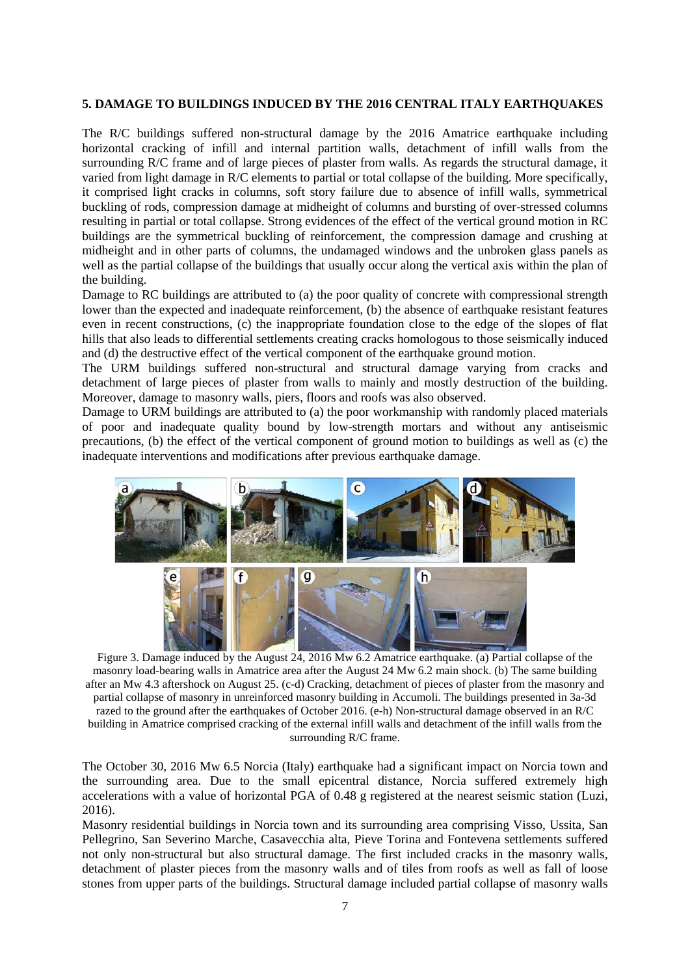#### **5. DAMAGE TO BUILDINGS INDUCED BY THE 2016 CENTRAL ITALY EARTHQUAKES**

The R/C buildings suffered non-structural damage by the 2016 Amatrice earthquake including horizontal cracking of infill and internal partition walls, detachment of infill walls from the surrounding R/C frame and of large pieces of plaster from walls. As regards the structural damage, it varied from light damage in R/C elements to partial or total collapse of the building. More specifically, it comprised light cracks in columns, soft story failure due to absence of infill walls, symmetrical buckling of rods, compression damage at midheight of columns and bursting of over-stressed columns resulting in partial or total collapse. Strong evidences of the effect of the vertical ground motion in RC buildings are the symmetrical buckling of reinforcement, the compression damage and crushing at midheight and in other parts of columns, the undamaged windows and the unbroken glass panels as well as the partial collapse of the buildings that usually occur along the vertical axis within the plan of the building.

Damage to RC buildings are attributed to (a) the poor quality of concrete with compressional strength lower than the expected and inadequate reinforcement, (b) the absence of earthquake resistant features even in recent constructions, (c) the inappropriate foundation close to the edge of the slopes of flat hills that also leads to differential settlements creating cracks homologous to those seismically induced and (d) the destructive effect of the vertical component of the earthquake ground motion.

The URM buildings suffered non-structural and structural damage varying from cracks and detachment of large pieces of plaster from walls to mainly and mostly destruction of the building. Moreover, damage to masonry walls, piers, floors and roofs was also observed.

Damage to URM buildings are attributed to (a) the poor workmanship with randomly placed materials of poor and inadequate quality bound by low-strength mortars and without any antiseismic precautions, (b) the effect of the vertical component of ground motion to buildings as well as (c) the inadequate interventions and modifications after previous earthquake damage.



Figure 3. Damage induced by the August 24, 2016 Mw 6.2 Amatrice earthquake. (a) Partial collapse of the masonry load-bearing walls in Amatrice area after the August 24 Mw 6.2 main shock. (b) The same building after an Mw 4.3 aftershock on August 25. (c-d) Cracking, detachment of pieces of plaster from the masonry and partial collapse of masonry in unreinforced masonry building in Accumoli. The buildings presented in 3a-3d razed to the ground after the earthquakes of October 2016. (e-h) Non-structural damage observed in an R/C building in Amatrice comprised cracking of the external infill walls and detachment of the infill walls from the surrounding R/C frame.

The October 30, 2016 Mw 6.5 Norcia (Italy) earthquake had a significant impact on Norcia town and the surrounding area. Due to the small epicentral distance, Norcia suffered extremely high accelerations with a value of horizontal PGA of 0.48 g registered at the nearest seismic station (Luzi, 2016).

Masonry residential buildings in Norcia town and its surrounding area comprising Visso, Ussita, San Pellegrino, San Severino Marche, Casavecchia alta, Pieve Torina and Fontevena settlements suffered not only non-structural but also structural damage. The first included cracks in the masonry walls, detachment of plaster pieces from the masonry walls and of tiles from roofs as well as fall of loose stones from upper parts of the buildings. Structural damage included partial collapse of masonry walls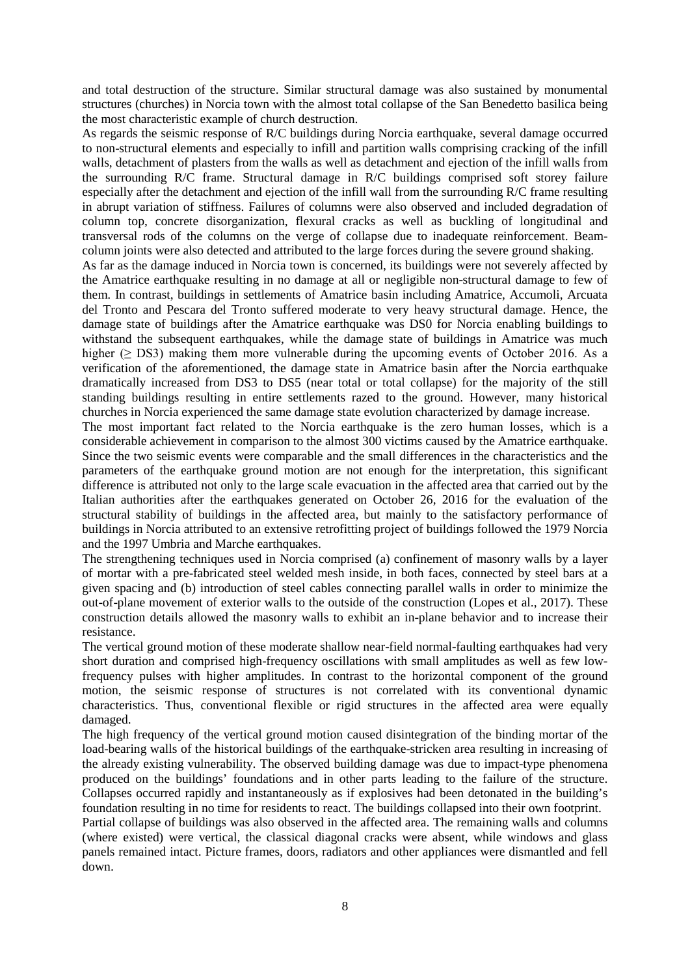and total destruction of the structure. Similar structural damage was also sustained by monumental structures (churches) in Norcia town with the almost total collapse of the San Benedetto basilica being the most characteristic example of church destruction.

As regards the seismic response of R/C buildings during Norcia earthquake, several damage occurred to non-structural elements and especially to infill and partition walls comprising cracking of the infill walls, detachment of plasters from the walls as well as detachment and ejection of the infill walls from the surrounding R/C frame. Structural damage in R/C buildings comprised soft storey failure especially after the detachment and ejection of the infill wall from the surrounding R/C frame resulting in abrupt variation of stiffness. Failures of columns were also observed and included degradation of column top, concrete disorganization, flexural cracks as well as buckling of longitudinal and transversal rods of the columns on the verge of collapse due to inadequate reinforcement. Beamcolumn joints were also detected and attributed to the large forces during the severe ground shaking.

As far as the damage induced in Norcia town is concerned, its buildings were not severely affected by the Amatrice earthquake resulting in no damage at all or negligible non-structural damage to few of them. In contrast, buildings in settlements of Amatrice basin including Amatrice, Accumoli, Arcuata del Tronto and Pescara del Tronto suffered moderate to very heavy structural damage. Hence, the damage state of buildings after the Amatrice earthquake was DS0 for Norcia enabling buildings to withstand the subsequent earthquakes, while the damage state of buildings in Amatrice was much higher ( $\geq$  DS3) making them more vulnerable during the upcoming events of October 2016. As a verification of the aforementioned, the damage state in Amatrice basin after the Norcia earthquake dramatically increased from DS3 to DS5 (near total or total collapse) for the majority of the still standing buildings resulting in entire settlements razed to the ground. However, many historical churches in Norcia experienced the same damage state evolution characterized by damage increase.

The most important fact related to the Norcia earthquake is the zero human losses, which is a considerable achievement in comparison to the almost 300 victims caused by the Amatrice earthquake. Since the two seismic events were comparable and the small differences in the characteristics and the parameters of the earthquake ground motion are not enough for the interpretation, this significant difference is attributed not only to the large scale evacuation in the affected area that carried out by the Italian authorities after the earthquakes generated on October 26, 2016 for the evaluation of the structural stability of buildings in the affected area, but mainly to the satisfactory performance of buildings in Norcia attributed to an extensive retrofitting project of buildings followed the 1979 Norcia and the 1997 Umbria and Marche earthquakes.

The strengthening techniques used in Norcia comprised (a) confinement of masonry walls by a layer of mortar with a pre-fabricated steel welded mesh inside, in both faces, connected by steel bars at a given spacing and (b) introduction of steel cables connecting parallel walls in order to minimize the out-of-plane movement of exterior walls to the outside of the construction (Lopes et al., 2017). These construction details allowed the masonry walls to exhibit an in-plane behavior and to increase their resistance.

The vertical ground motion of these moderate shallow near-field normal-faulting earthquakes had very short duration and comprised high-frequency oscillations with small amplitudes as well as few lowfrequency pulses with higher amplitudes. In contrast to the horizontal component of the ground motion, the seismic response of structures is not correlated with its conventional dynamic characteristics. Thus, conventional flexible or rigid structures in the affected area were equally damaged.

The high frequency of the vertical ground motion caused disintegration of the binding mortar of the load-bearing walls of the historical buildings of the earthquake-stricken area resulting in increasing of the already existing vulnerability. The observed building damage was due to impact-type phenomena produced on the buildings' foundations and in other parts leading to the failure of the structure. Collapses occurred rapidly and instantaneously as if explosives had been detonated in the building's foundation resulting in no time for residents to react. The buildings collapsed into their own footprint.

Partial collapse of buildings was also observed in the affected area. The remaining walls and columns (where existed) were vertical, the classical diagonal cracks were absent, while windows and glass panels remained intact. Picture frames, doors, radiators and other appliances were dismantled and fell down.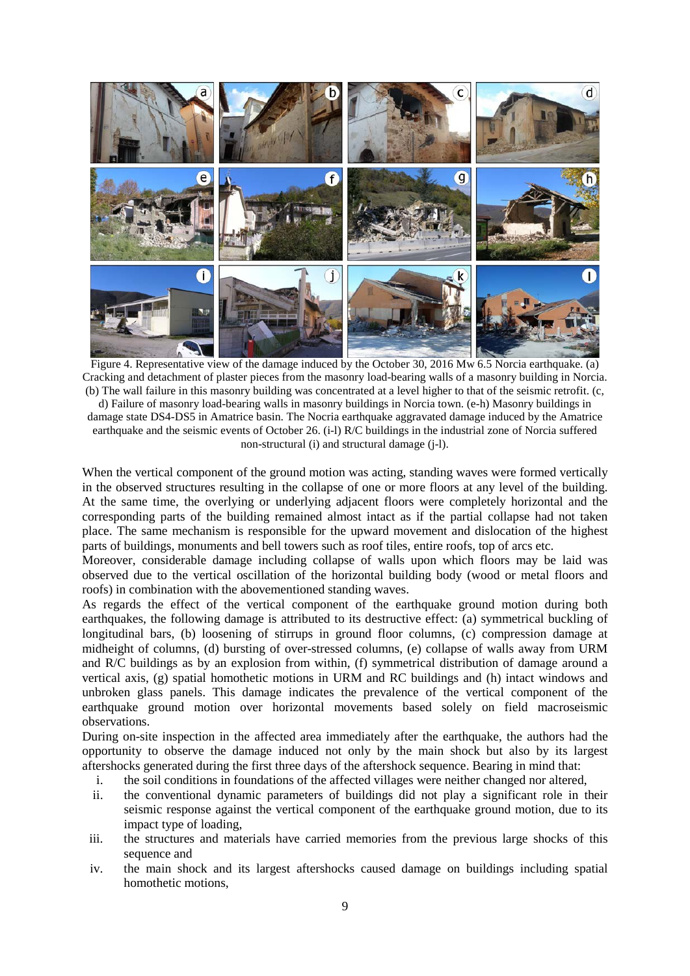

Figure 4. Representative view of the damage induced by the October 30, 2016 Mw 6.5 Norcia earthquake. (a) Cracking and detachment of plaster pieces from the masonry load-bearing walls of a masonry building in Norcia. (b) The wall failure in this masonry building was concentrated at a level higher to that of the seismic retrofit. (c, d) Failure of masonry load-bearing walls in masonry buildings in Norcia town. (e-h) Masonry buildings in damage state DS4-DS5 in Amatrice basin. The Nocria earthquake aggravated damage induced by the Amatrice earthquake and the seismic events of October 26. (i-l) R/C buildings in the industrial zone of Norcia suffered non-structural (i) and structural damage (j-l).

When the vertical component of the ground motion was acting, standing waves were formed vertically in the observed structures resulting in the collapse of one or more floors at any level of the building. At the same time, the overlying or underlying adjacent floors were completely horizontal and the corresponding parts of the building remained almost intact as if the partial collapse had not taken place. The same mechanism is responsible for the upward movement and dislocation of the highest parts of buildings, monuments and bell towers such as roof tiles, entire roofs, top of arcs etc.

Moreover, considerable damage including collapse of walls upon which floors may be laid was observed due to the vertical oscillation of the horizontal building body (wood or metal floors and roofs) in combination with the abovementioned standing waves.

As regards the effect of the vertical component of the earthquake ground motion during both earthquakes, the following damage is attributed to its destructive effect: (a) symmetrical buckling of longitudinal bars, (b) loosening of stirrups in ground floor columns, (c) compression damage at midheight of columns, (d) bursting of over-stressed columns, (e) collapse of walls away from URM and R/C buildings as by an explosion from within, (f) symmetrical distribution of damage around a vertical axis, (g) spatial homothetic motions in URM and RC buildings and (h) intact windows and unbroken glass panels. This damage indicates the prevalence of the vertical component of the earthquake ground motion over horizontal movements based solely on field macroseismic observations.

During on-site inspection in the affected area immediately after the earthquake, the authors had the opportunity to observe the damage induced not only by the main shock but also by its largest aftershocks generated during the first three days of the aftershock sequence. Bearing in mind that:

- i. the soil conditions in foundations of the affected villages were neither changed nor altered,
- ii. the conventional dynamic parameters of buildings did not play a significant role in their seismic response against the vertical component of the earthquake ground motion, due to its impact type of loading,
- iii. the structures and materials have carried memories from the previous large shocks of this sequence and
- iv. the main shock and its largest aftershocks caused damage on buildings including spatial homothetic motions,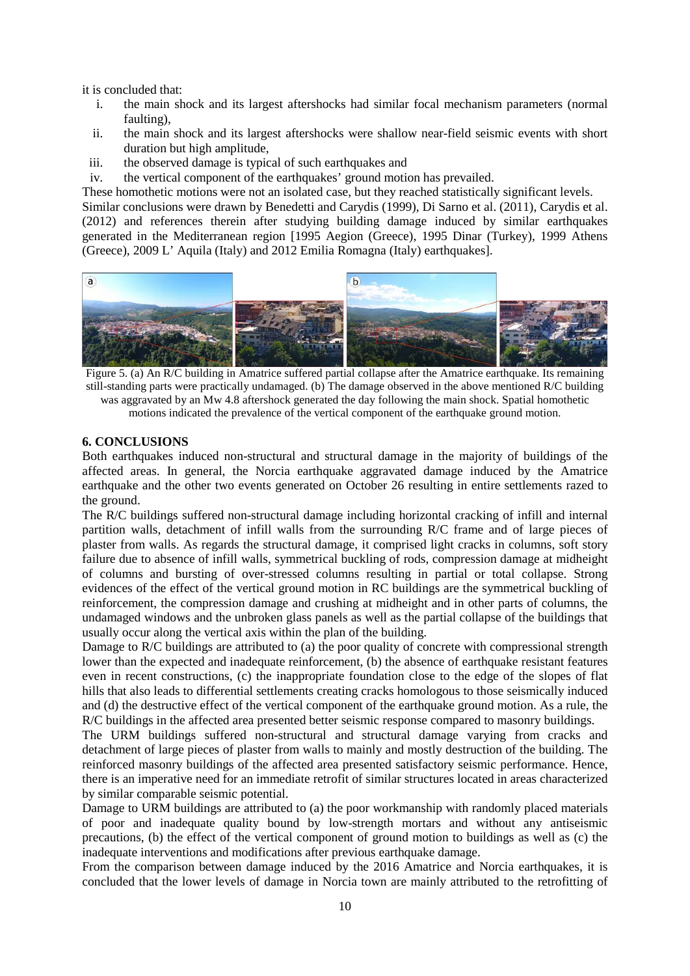it is concluded that:

- i. the main shock and its largest aftershocks had similar focal mechanism parameters (normal faulting),
- ii. the main shock and its largest aftershocks were shallow near-field seismic events with short duration but high amplitude,
- iii. the observed damage is typical of such earthquakes and
- iv. the vertical component of the earthquakes' ground motion has prevailed.

These homothetic motions were not an isolated case, but they reached statistically significant levels.

Similar conclusions were drawn by Benedetti and Carydis (1999), Di Sarno et al. (2011), Carydis et al. (2012) and references therein after studying building damage induced by similar earthquakes generated in the Mediterranean region [1995 Aegion (Greece), 1995 Dinar (Turkey), 1999 Athens (Greece), 2009 L' Aquila (Italy) and 2012 Emilia Romagna (Italy) earthquakes].



Figure 5. (a) An R/C building in Amatrice suffered partial collapse after the Amatrice earthquake. Its remaining still-standing parts were practically undamaged. (b) The damage observed in the above mentioned R/C building was aggravated by an Mw 4.8 aftershock generated the day following the main shock. Spatial homothetic motions indicated the prevalence of the vertical component of the earthquake ground motion.

#### **6. CONCLUSIONS**

Both earthquakes induced non-structural and structural damage in the majority of buildings of the affected areas. In general, the Norcia earthquake aggravated damage induced by the Amatrice earthquake and the other two events generated on October 26 resulting in entire settlements razed to the ground.

The R/C buildings suffered non-structural damage including horizontal cracking of infill and internal partition walls, detachment of infill walls from the surrounding R/C frame and of large pieces of plaster from walls. As regards the structural damage, it comprised light cracks in columns, soft story failure due to absence of infill walls, symmetrical buckling of rods, compression damage at midheight of columns and bursting of over-stressed columns resulting in partial or total collapse. Strong evidences of the effect of the vertical ground motion in RC buildings are the symmetrical buckling of reinforcement, the compression damage and crushing at midheight and in other parts of columns, the undamaged windows and the unbroken glass panels as well as the partial collapse of the buildings that usually occur along the vertical axis within the plan of the building.

Damage to R/C buildings are attributed to (a) the poor quality of concrete with compressional strength lower than the expected and inadequate reinforcement, (b) the absence of earthquake resistant features even in recent constructions, (c) the inappropriate foundation close to the edge of the slopes of flat hills that also leads to differential settlements creating cracks homologous to those seismically induced and (d) the destructive effect of the vertical component of the earthquake ground motion. As a rule, the R/C buildings in the affected area presented better seismic response compared to masonry buildings.

The URM buildings suffered non-structural and structural damage varying from cracks and detachment of large pieces of plaster from walls to mainly and mostly destruction of the building. The reinforced masonry buildings of the affected area presented satisfactory seismic performance. Hence, there is an imperative need for an immediate retrofit of similar structures located in areas characterized by similar comparable seismic potential.

Damage to URM buildings are attributed to (a) the poor workmanship with randomly placed materials of poor and inadequate quality bound by low-strength mortars and without any antiseismic precautions, (b) the effect of the vertical component of ground motion to buildings as well as (c) the inadequate interventions and modifications after previous earthquake damage.

From the comparison between damage induced by the 2016 Amatrice and Norcia earthquakes, it is concluded that the lower levels of damage in Norcia town are mainly attributed to the retrofitting of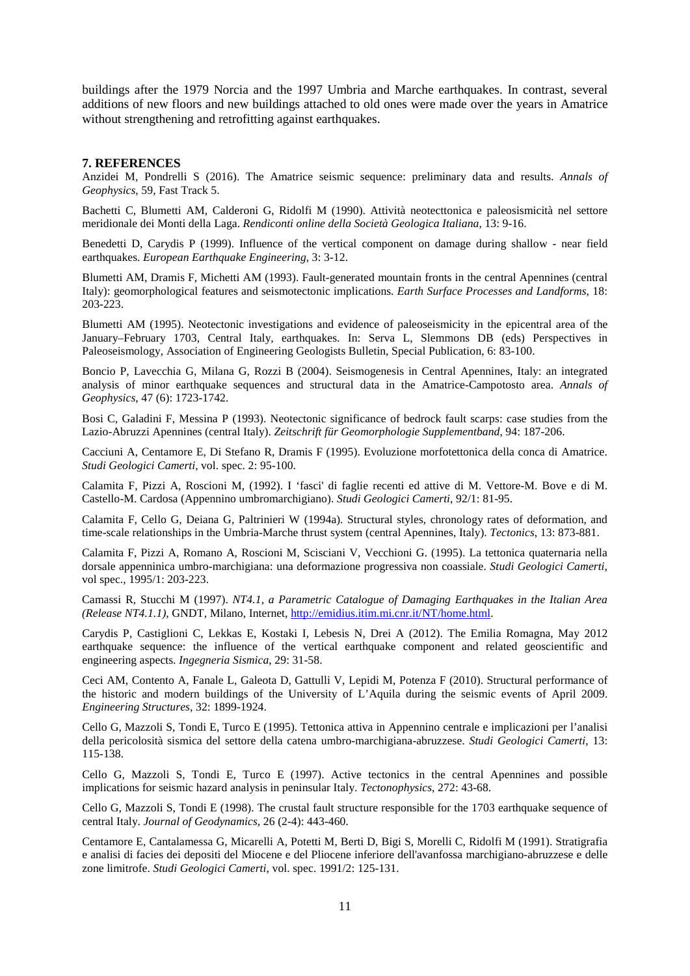buildings after the 1979 Norcia and the 1997 Umbria and Marche earthquakes. In contrast, several additions of new floors and new buildings attached to old ones were made over the years in Amatrice without strengthening and retrofitting against earthquakes.

#### **7. REFERENCES**

Anzidei M, Pondrelli S (2016). The Amatrice seismic sequence: preliminary data and results. *Annals of Geophysics*, 59, Fast Track 5.

Bachetti C, Blumetti AM, Calderoni G, Ridolfi M (1990). Attività neotecttonica e paleosismicità nel settore meridionale dei Monti della Laga. *Rendiconti online della Società Geologica Italiana*, 13: 9-16.

Benedetti D, Carydis P (1999). Influence of the vertical component on damage during shallow - near field earthquakes. *European Earthquake Engineering*, 3: 3-12.

Blumetti AM, Dramis F, Michetti AM (1993). Fault-generated mountain fronts in the central Apennines (central Italy): geomorphological features and seismotectonic implications. *Earth Surface Processes and Landforms*, 18: 203-223.

Blumetti AM (1995). Neotectonic investigations and evidence of paleoseismicity in the epicentral area of the January–February 1703, Central Italy, earthquakes. In: Serva L, Slemmons DB (eds) Perspectives in Paleoseismology, Association of Engineering Geologists Bulletin, Special Publication, 6: 83-100.

Boncio P, Lavecchia G, Milana G, Rozzi B (2004). Seismogenesis in Central Apennines, Italy: an integrated analysis of minor earthquake sequences and structural data in the Amatrice-Campotosto area. *Annals of Geophysics*, 47 (6): 1723-1742.

Bosi C, Galadini F, Messina P (1993). Neotectonic significance of bedrock fault scarps: case studies from the Lazio-Abruzzi Apennines (central Italy). *Zeitschrift für Geomorphologie Supplementband*, 94: 187-206.

Cacciuni A, Centamore E, Di Stefano R, Dramis F (1995). Evoluzione morfotettonica della conca di Amatrice. *Studi Geologici Camerti*, vol. spec. 2: 95-100.

Calamita F, Pizzi A, Roscioni M, (1992). I 'fasci' di faglie recenti ed attive di M. Vettore-M. Bove e di M. Castello-M. Cardosa (Appennino umbromarchigiano). *Studi Geologici Camerti*, 92/1: 81-95.

Calamita F, Cello G, Deiana G, Paltrinieri W (1994a). Structural styles, chronology rates of deformation, and time-scale relationships in the Umbria-Marche thrust system (central Apennines, Italy). *Tectonics*, 13: 873-881.

Calamita F, Pizzi A, Romano A, Roscioni M, Scisciani V, Vecchioni G. (1995). La tettonica quaternaria nella dorsale appenninica umbro-marchigiana: una deformazione progressiva non coassiale. *Studi Geologici Camerti*, vol spec., 1995/1: 203-223.

Camassi R, Stucchi M (1997). *NT4.1, a Parametric Catalogue of Damaging Earthquakes in the Italian Area (Release NT4.1.1)*, GNDT, Milano, Internet, [http://emidius.itim.mi.cnr.it/NT/home.html.](http://emidius.itim.mi.cnr.it/NT/home.html)

Carydis P, Castiglioni C, Lekkas E, Kostaki I, Lebesis N, Drei A (2012). The Emilia Romagna, May 2012 earthquake sequence: the influence of the vertical earthquake component and related geoscientific and engineering aspects. *Ingegneria Sismica*, 29: 31-58.

Ceci AM, Contento A, Fanale L, Galeota D, Gattulli V, Lepidi M, Potenza F (2010). Structural performance of the historic and modern buildings of the University of L'Aquila during the seismic events of April 2009. *Engineering Structures*, 32: 1899-1924.

Cello G, Mazzoli S, Tondi E, Turco E (1995). Tettonica attiva in Appennino centrale e implicazioni per l'analisi della pericolosità sismica del settore della catena umbro-marchigiana-abruzzese. *Studi Geologici Camerti*, 13: 115-138.

Cello G, Mazzoli S, Tondi E, Turco E (1997). Active tectonics in the central Apennines and possible implications for seismic hazard analysis in peninsular Italy. *Tectonophysics*, 272: 43-68.

Cello G, Mazzoli S, Tondi E (1998). The crustal fault structure responsible for the 1703 earthquake sequence of central Italy. *Journal of Geodynamics*, 26 (2-4): 443-460.

Centamore E, Cantalamessa G, Micarelli A, Potetti M, Berti D, Bigi S, Morelli C, Ridolfi M (1991). Stratigrafia e analisi di facies dei depositi del Miocene e del Pliocene inferiore dell'avanfossa marchigiano-abruzzese e delle zone limitrofe. *Studi Geologici Camerti*, vol. spec. 1991/2: 125-131.